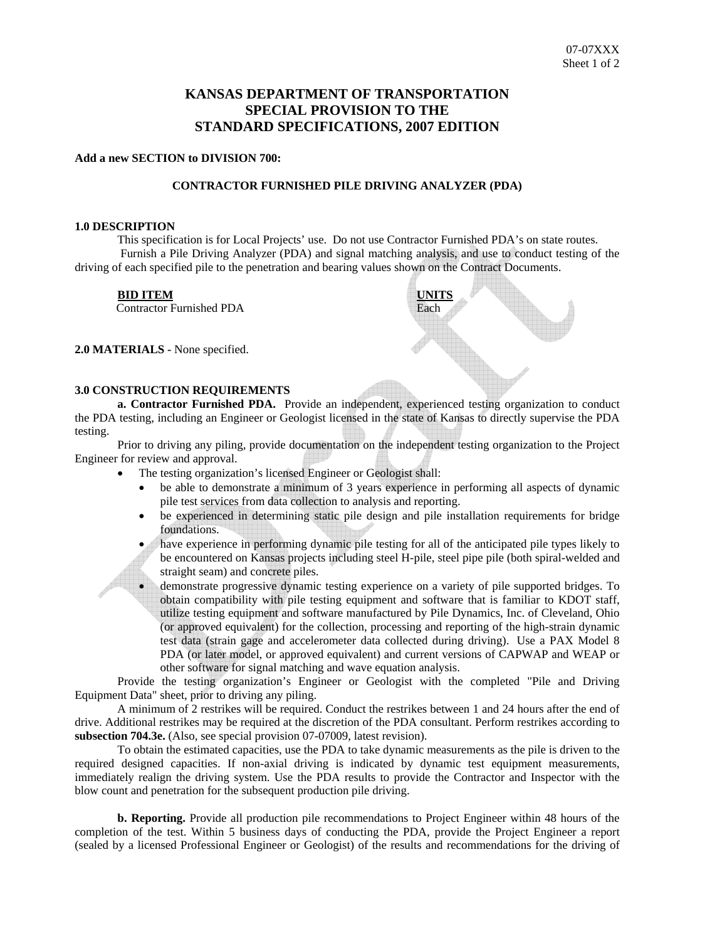# **KANSAS DEPARTMENT OF TRANSPORTATION SPECIAL PROVISION TO THE STANDARD SPECIFICATIONS, 2007 EDITION**

## **Add a new SECTION to DIVISION 700:**

### **CONTRACTOR FURNISHED PILE DRIVING ANALYZER (PDA)**

#### **1.0 DESCRIPTION**

This specification is for Local Projects' use. Do not use Contractor Furnished PDA's on state routes. Furnish a Pile Driving Analyzer (PDA) and signal matching analysis, and use to conduct testing of the driving of each specified pile to the penetration and bearing values shown on the Contract Documents.

#### **BID ITEM**

Contractor Furnished PDA

**2.0 MATERIALS -** None specified.



## **3.0 CONSTRUCTION REQUIREMENTS**

**a. Contractor Furnished PDA.** Provide an independent, experienced testing organization to conduct the PDA testing, including an Engineer or Geologist licensed in the state of Kansas to directly supervise the PDA testing.

Prior to driving any piling, provide documentation on the independent testing organization to the Project Engineer for review and approval.

- The testing organization's licensed Engineer or Geologist shall:
	- be able to demonstrate a minimum of 3 years experience in performing all aspects of dynamic pile test services from data collection to analysis and reporting.
	- be experienced in determining static pile design and pile installation requirements for bridge foundations.
	- have experience in performing dynamic pile testing for all of the anticipated pile types likely to be encountered on Kansas projects including steel H-pile, steel pipe pile (both spiral-welded and straight seam) and concrete piles.

• demonstrate progressive dynamic testing experience on a variety of pile supported bridges. To obtain compatibility with pile testing equipment and software that is familiar to KDOT staff, utilize testing equipment and software manufactured by Pile Dynamics, Inc. of Cleveland, Ohio (or approved equivalent) for the collection, processing and reporting of the high-strain dynamic test data (strain gage and accelerometer data collected during driving). Use a PAX Model 8 PDA (or later model, or approved equivalent) and current versions of CAPWAP and WEAP or other software for signal matching and wave equation analysis.

Provide the testing organization's Engineer or Geologist with the completed "Pile and Driving Equipment Data" sheet, prior to driving any piling.

A minimum of 2 restrikes will be required. Conduct the restrikes between 1 and 24 hours after the end of drive. Additional restrikes may be required at the discretion of the PDA consultant. Perform restrikes according to **subsection 704.3e.** (Also, see special provision 07-07009, latest revision).

To obtain the estimated capacities, use the PDA to take dynamic measurements as the pile is driven to the required designed capacities. If non-axial driving is indicated by dynamic test equipment measurements, immediately realign the driving system. Use the PDA results to provide the Contractor and Inspector with the blow count and penetration for the subsequent production pile driving.

**b. Reporting.** Provide all production pile recommendations to Project Engineer within 48 hours of the completion of the test. Within 5 business days of conducting the PDA, provide the Project Engineer a report (sealed by a licensed Professional Engineer or Geologist) of the results and recommendations for the driving of